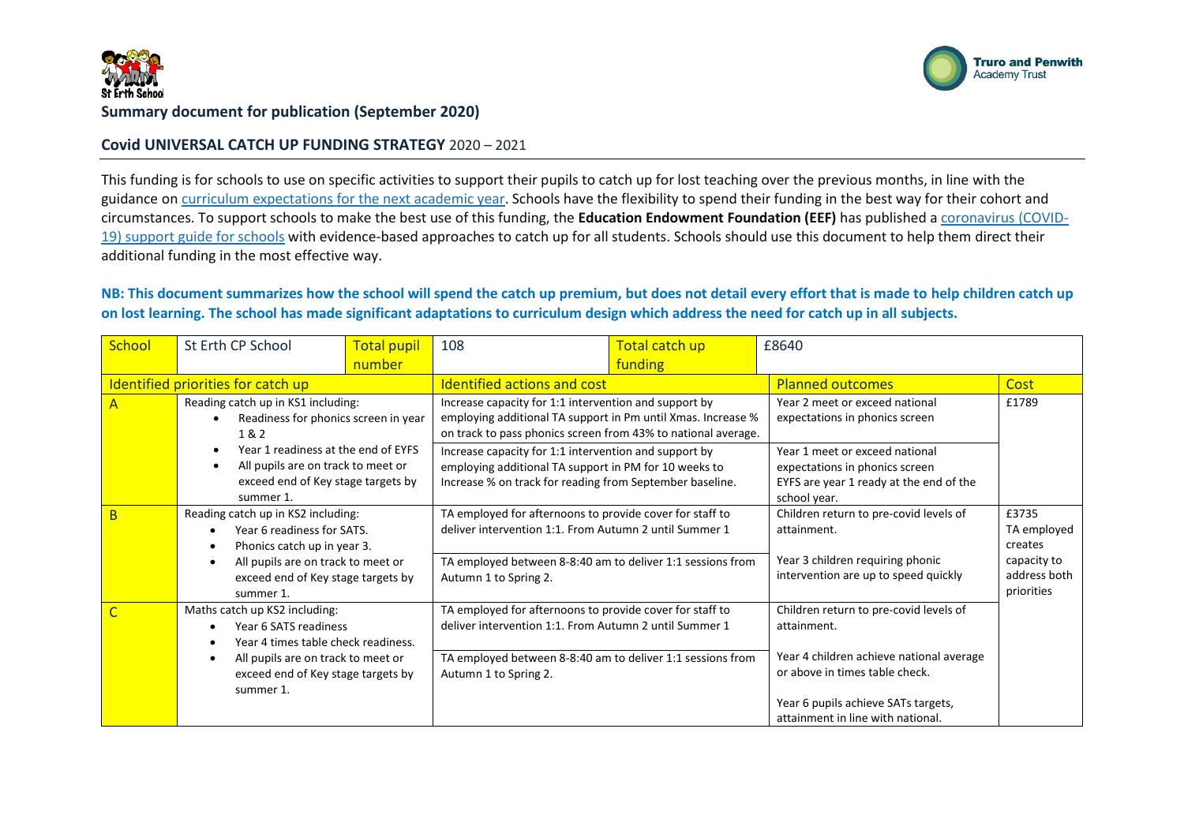



## **Summary document for publication (September 2020)**

## **Covid UNIVERSAL CATCH UP FUNDING STRATEGY** 2020 – 2021

This funding is for schools to use on specific activities to support their pupils to catch up for lost teaching over the previous months, in line with the guidance on curriculum [expectations](https://www.gov.uk/government/publications/actions-for-schools-during-the-coronavirus-outbreak/guidance-for-full-opening-schools#section-3-curriculum-behaviour-and-pastoral-support) for the next academic year. Schools have the flexibility to spend their funding in the best way for their cohort and circumstances. To support schools to make the best use of this funding, the **Education Endowment Foundation (EEF)** has published a [coronavirus](https://educationendowmentfoundation.org.uk/covid-19-resources/covid-19-support-guide-for-schools/#nav-covid-19-support-guide-for-schools1) (COVID-19) [support](https://educationendowmentfoundation.org.uk/covid-19-resources/covid-19-support-guide-for-schools/#nav-covid-19-support-guide-for-schools1) guide for schools with evidence-based approaches to catch up for all students. Schools should use this document to help them direct their additional funding in the most effective way.

## **NB: This document summarizes how the school will spend the catch up premium, but does not detail every effort that is made to help children catch up on lost learning. The school has made significant adaptations to curriculum design which address the need for catch up in all subjects.**

| <b>School</b>                      | St Erth CP School                                                                                                                                                                                                       | <b>Total pupil</b> | 108                                                                                                                                                                                                                                                                                                                                                                  | Total catch up | £8640                                                                                                                                                                                                           |                                                                              |
|------------------------------------|-------------------------------------------------------------------------------------------------------------------------------------------------------------------------------------------------------------------------|--------------------|----------------------------------------------------------------------------------------------------------------------------------------------------------------------------------------------------------------------------------------------------------------------------------------------------------------------------------------------------------------------|----------------|-----------------------------------------------------------------------------------------------------------------------------------------------------------------------------------------------------------------|------------------------------------------------------------------------------|
|                                    |                                                                                                                                                                                                                         | number             |                                                                                                                                                                                                                                                                                                                                                                      | funding        |                                                                                                                                                                                                                 |                                                                              |
| Identified priorities for catch up |                                                                                                                                                                                                                         |                    | <b>Identified actions and cost</b>                                                                                                                                                                                                                                                                                                                                   |                | <b>Planned outcomes</b>                                                                                                                                                                                         | Cost                                                                         |
|                                    | Reading catch up in KS1 including:<br>Readiness for phonics screen in year<br>1& 2<br>Year 1 readiness at the end of EYFS<br>All pupils are on track to meet or<br>exceed end of Key stage targets by<br>summer 1.      |                    | Increase capacity for 1:1 intervention and support by<br>employing additional TA support in Pm until Xmas. Increase %<br>on track to pass phonics screen from 43% to national average.<br>Increase capacity for 1:1 intervention and support by<br>employing additional TA support in PM for 10 weeks to<br>Increase % on track for reading from September baseline. |                | Year 2 meet or exceed national<br>expectations in phonics screen                                                                                                                                                | £1789                                                                        |
|                                    |                                                                                                                                                                                                                         |                    |                                                                                                                                                                                                                                                                                                                                                                      |                | Year 1 meet or exceed national<br>expectations in phonics screen<br>EYFS are year 1 ready at the end of the<br>school year.                                                                                     |                                                                              |
| B                                  | Reading catch up in KS2 including:<br>Year 6 readiness for SATS.<br>$\bullet$<br>Phonics catch up in year 3.<br>٠<br>All pupils are on track to meet or<br>$\bullet$<br>exceed end of Key stage targets by<br>summer 1. |                    | TA employed for afternoons to provide cover for staff to<br>deliver intervention 1:1. From Autumn 2 until Summer 1<br>TA employed between 8-8:40 am to deliver 1:1 sessions from<br>Autumn 1 to Spring 2.                                                                                                                                                            |                | Children return to pre-covid levels of<br>attainment.<br>Year 3 children requiring phonic<br>intervention are up to speed quickly                                                                               | £3735<br>TA employed<br>creates<br>capacity to<br>address both<br>priorities |
|                                    | Maths catch up KS2 including:<br>Year 6 SATS readiness<br>$\bullet$<br>Year 4 times table check readiness.<br>All pupils are on track to meet or<br>$\bullet$<br>exceed end of Key stage targets by<br>summer 1.        |                    | TA employed for afternoons to provide cover for staff to<br>deliver intervention 1:1. From Autumn 2 until Summer 1<br>TA employed between 8-8:40 am to deliver 1:1 sessions from<br>Autumn 1 to Spring 2.                                                                                                                                                            |                | Children return to pre-covid levels of<br>attainment.<br>Year 4 children achieve national average<br>or above in times table check.<br>Year 6 pupils achieve SATs targets,<br>attainment in line with national. |                                                                              |